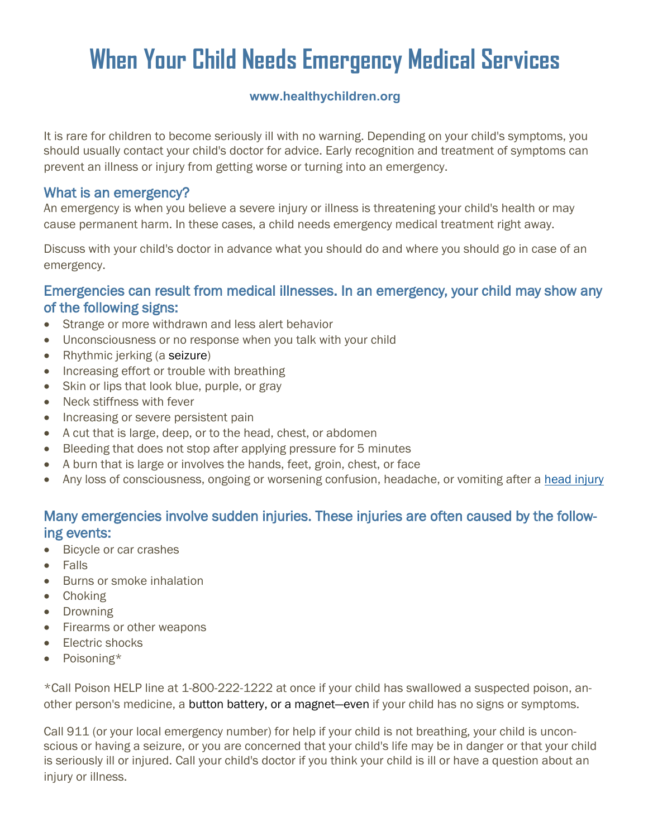# **When Your Child Needs Emergency Medical Services**

### **www.healthychildren.org**

It is rare for children to become seriously ill with no warning. Depending on your child's symptoms, you should usually contact your child's doctor for advice. Early recognition and treatment of symptoms can prevent an illness or injury from getting worse or turning into an emergency.

### What is an emergency?

An emergency is when you believe a severe injury or illness is threatening your child's health or may cause permanent harm. In these cases, a child needs emergency medical treatment right away.

Discuss with your child's doctor in advance what you should do and where you should go in case of an emergency.

## Emergencies can result from medical illnesses. In an emergency, your child may show any of the following signs:

- Strange or more withdrawn and less alert behavior
- Unconsciousness or no response when you talk with your child
- Rhythmic jerking (a [seizure\)](https://www.healthychildren.org/English/health-issues/injuries-emergencies/Pages/Seizures.aspx)
- Increasing effort or trouble with breathing
- Skin or lips that look blue, purple, or gray
- Neck stiffness with fever
- Increasing or severe persistent pain
- A cut that is large, deep, or to the head, chest, or abdomen
- Bleeding that does not stop after applying pressure for 5 minutes
- A burn that is large or involves the hands, feet, groin, chest, or face
- Any loss of consciousness, ongoing or worsening confusion, headache, or vomiting after a [head injury](https://www.healthychildren.org/English/health-issues/injuries-emergencies/Pages/Head-Injury.aspx)

## Many emergencies involve sudden injuries. These injuries are often caused by the following events:

- Bicycle or car crashes
- Falls
- Burns or smoke inhalation
- Choking
- Drowning
- Firearms or other weapons
- Electric shocks
- Poisoning\*

\*Call Poison HELP line at 1-800-222-1222 at once if your child has swallowed a suspected poison, another person's medicine, a [button battery,](https://www.healthychildren.org/English/safety-prevention/at-home/Pages/Button-Battery-Injuries-in-Children-A-Growing-Risk.aspx) or a [magnet](https://www.healthychildren.org/English/safety-prevention/at-home/Pages/Dangers-of-Magnetic-Toys-and-Fake-Piercings.aspx)—even if your child has no signs or symptoms.

Call 911 (or your local emergency number) for help if your child is not breathing, your child is unconscious or having a seizure, or you are concerned that your child's life may be in danger or that your child is seriously ill or injured. Call your child's doctor if you think your child is ill or have a question about an injury or illness.